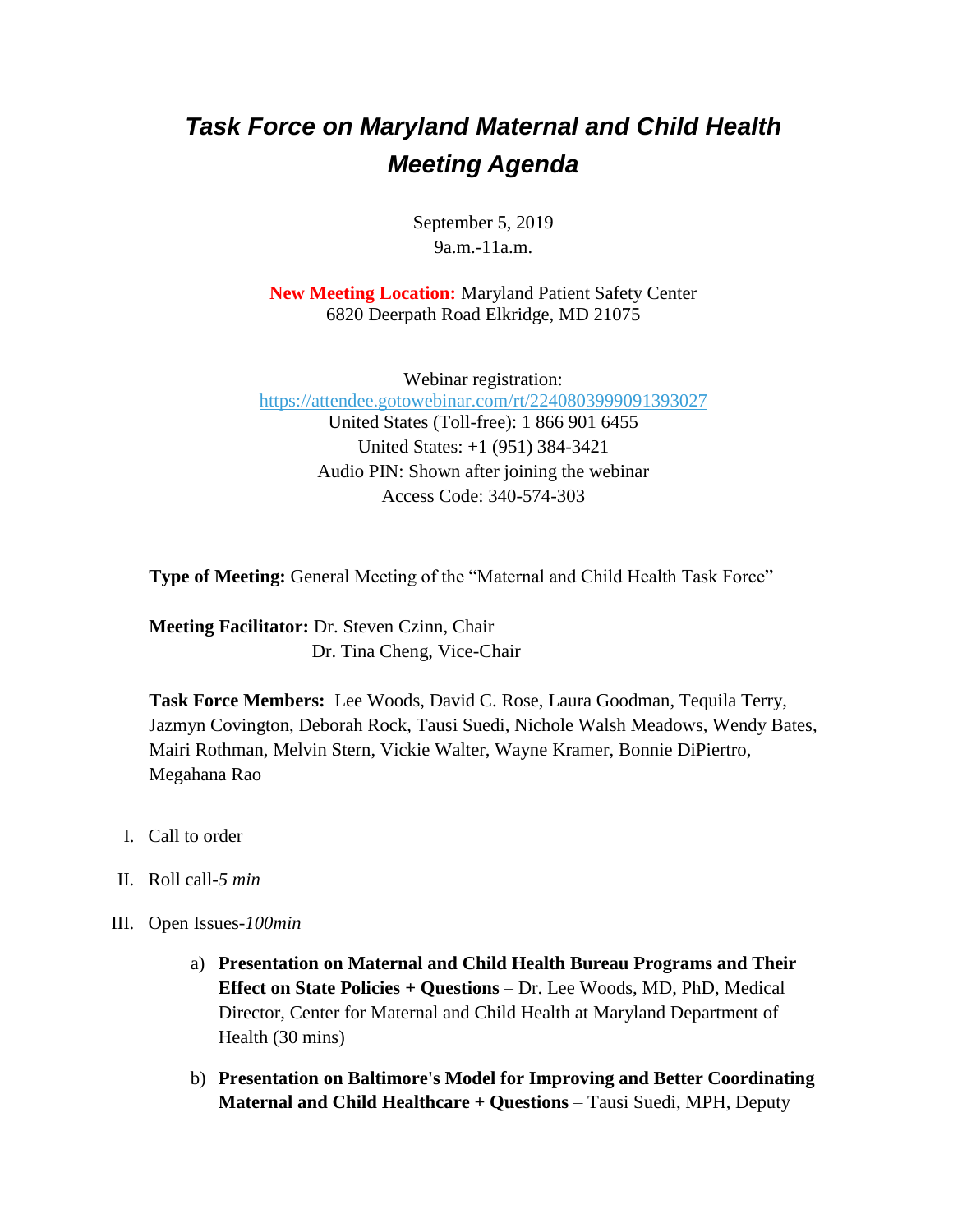## *Task Force on Maryland Maternal and Child Health Meeting Agenda*

September 5, 2019 9a.m.-11a.m.

**New Meeting Location:** Maryland Patient Safety Center 6820 Deerpath Road Elkridge, MD 21075

Webinar registration: <https://attendee.gotowebinar.com/rt/2240803999091393027> United States (Toll-free): 1 866 901 6455 United States: +1 (951) 384-3421 Audio PIN: Shown after joining the webinar Access Code: 340-574-303

**Type of Meeting:** General Meeting of the "Maternal and Child Health Task Force"

**Meeting Facilitator:** Dr. Steven Czinn, Chair Dr. Tina Cheng, Vice-Chair

**Task Force Members:** Lee Woods, David C. Rose, Laura Goodman, Tequila Terry, Jazmyn Covington, Deborah Rock, Tausi Suedi, Nichole Walsh Meadows, Wendy Bates, Mairi Rothman, Melvin Stern, Vickie Walter, Wayne Kramer, Bonnie DiPiertro, Megahana Rao

- I. Call to order
- II. Roll call-*5 min*
- III. Open Issues-*100min*
	- a) **Presentation on Maternal and Child Health Bureau Programs and Their Effect on State Policies + Questions** – Dr. Lee Woods, MD, PhD, Medical Director, Center for Maternal and Child Health at Maryland Department of Health (30 mins)
	- b) **Presentation on Baltimore's Model for Improving and Better Coordinating Maternal and Child Healthcare + Questions** – Tausi Suedi, MPH, Deputy